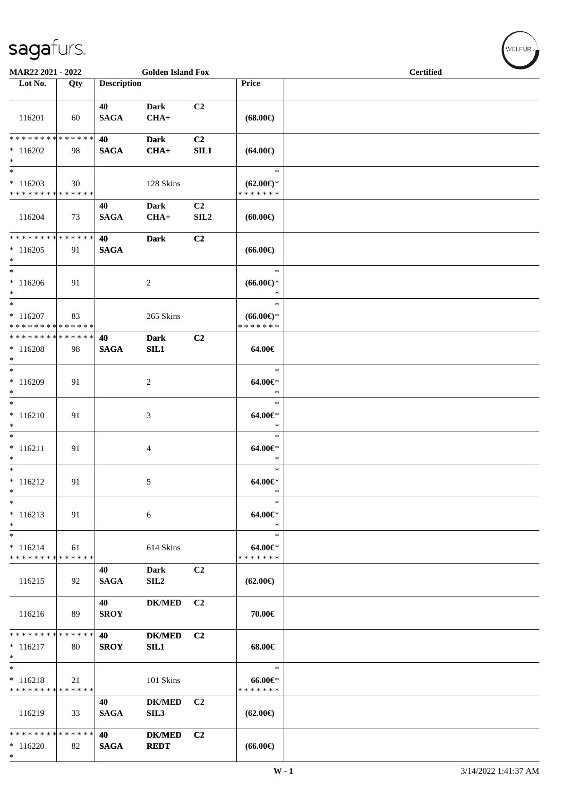| MAR22 2021 - 2022                  |             |                    | <b>Golden Island Fox</b> |                  |                     | <b>Certified</b> |  |
|------------------------------------|-------------|--------------------|--------------------------|------------------|---------------------|------------------|--|
| Lot No.                            | Qty         | <b>Description</b> |                          |                  | Price               |                  |  |
|                                    |             |                    |                          |                  |                     |                  |  |
|                                    |             |                    |                          |                  |                     |                  |  |
|                                    |             | 40                 | <b>Dark</b>              | C2               |                     |                  |  |
| 116201                             | 60          | <b>SAGA</b>        | $CHA+$                   |                  | $(68.00\epsilon)$   |                  |  |
|                                    |             |                    |                          |                  |                     |                  |  |
| * * * * * * * * * * * * * *        |             | 40                 | <b>Dark</b>              | C <sub>2</sub>   |                     |                  |  |
| $*116202$                          | 98          | <b>SAGA</b>        | $CHA+$                   | SIL1             | $(64.00\epsilon)$   |                  |  |
| $*$                                |             |                    |                          |                  |                     |                  |  |
| $*$                                |             |                    |                          |                  | $\ast$              |                  |  |
| $*116203$                          | 30          |                    | 128 Skins                |                  | $(62.00\epsilon)$ * |                  |  |
| * * * * * * * * * * * * * *        |             |                    |                          |                  | * * * * * * *       |                  |  |
|                                    |             | 40                 | <b>Dark</b>              | C2               |                     |                  |  |
| 116204                             | 73          | <b>SAGA</b>        | $CHA+$                   | SIL <sub>2</sub> | (60.00)             |                  |  |
|                                    |             |                    |                          |                  |                     |                  |  |
| * * * * * * * * * * * * * *        |             | 40                 | <b>Dark</b>              | C2               |                     |                  |  |
|                                    |             |                    |                          |                  |                     |                  |  |
| $*116205$<br>$*$                   | 91          | <b>SAGA</b>        |                          |                  | $(66.00\epsilon)$   |                  |  |
| $*$                                |             |                    |                          |                  | $\ast$              |                  |  |
|                                    |             |                    |                          |                  |                     |                  |  |
| $*116206$                          | 91          |                    | $\overline{c}$           |                  | $(66.00ε)$ *        |                  |  |
| $*$                                |             |                    |                          |                  | $\ast$              |                  |  |
| $*$                                |             |                    |                          |                  | $\ast$              |                  |  |
| $*116207$                          | 83          |                    | 265 Skins                |                  | $(66.00\epsilon)$ * |                  |  |
| * * * * * * * * * * * * * *        |             |                    |                          |                  | * * * * * * *       |                  |  |
| * * * * * * * * * * * * * *        |             | 40                 | <b>Dark</b>              | C <sub>2</sub>   |                     |                  |  |
| $*116208$                          | 98          | <b>SAGA</b>        | SL1                      |                  | 64.00€              |                  |  |
| $*$                                |             |                    |                          |                  |                     |                  |  |
| $*$                                |             |                    |                          |                  | $\ast$              |                  |  |
| $*116209$                          | 91          |                    | 2                        |                  | 64.00€*             |                  |  |
| $*$                                |             |                    |                          |                  | $\ast$              |                  |  |
| $*$                                |             |                    |                          |                  | $\ast$              |                  |  |
|                                    |             |                    |                          |                  |                     |                  |  |
| $* 116210$                         | 91          |                    | 3                        |                  | 64.00€*             |                  |  |
| $\ast$<br>$\overline{\phantom{0}}$ |             |                    |                          |                  | $\ast$              |                  |  |
|                                    |             |                    |                          |                  | $\ast$              |                  |  |
| $* 116211$                         | 91          |                    | 4                        |                  | $64.00 \in$         |                  |  |
| $*$                                |             |                    |                          |                  | $\ast$              |                  |  |
| $*$                                |             |                    |                          |                  | $\ast$              |                  |  |
| $* 116212$                         | 91          |                    | 5                        |                  | $64.00 \in$         |                  |  |
| $\ast$                             |             |                    |                          |                  | $\ast$              |                  |  |
| $\ast$                             |             |                    |                          |                  | $\ast$              |                  |  |
| $* 116213$                         | 91          |                    | 6                        |                  | 64.00€*             |                  |  |
| $\ast$                             |             |                    |                          |                  | $\ast$              |                  |  |
| $\ast$                             |             |                    |                          |                  | $\ast$              |                  |  |
| $* 116214$                         | 61          |                    | 614 Skins                |                  | 64.00€*             |                  |  |
| * * * * * * * *                    | * * * * * * |                    |                          |                  | * * * * * * *       |                  |  |
|                                    |             |                    |                          |                  |                     |                  |  |
|                                    |             | 40                 | Dark                     | C <sub>2</sub>   |                     |                  |  |
| 116215                             | 92          | <b>SAGA</b>        | SIL <sub>2</sub>         |                  | $(62.00\epsilon)$   |                  |  |
|                                    |             |                    |                          |                  |                     |                  |  |
|                                    |             | 40                 | <b>DK/MED</b>            | C <sub>2</sub>   |                     |                  |  |
| 116216                             | 89          | <b>SROY</b>        |                          |                  | 70.00€              |                  |  |
|                                    |             |                    |                          |                  |                     |                  |  |
| * * * * * * * *                    | * * * * * * | 40                 | <b>DK/MED</b>            | C <sub>2</sub>   |                     |                  |  |
| $*116217$                          | 80          | <b>SROY</b>        | SIL1                     |                  | 68.00€              |                  |  |
| $*$                                |             |                    |                          |                  |                     |                  |  |
| $*$                                |             |                    |                          |                  | $\ast$              |                  |  |
| $* 116218$                         | 21          |                    | 101 Skins                |                  | $66.00 \text{E}$    |                  |  |
| * * * * * * * * * * * * * *        |             |                    |                          |                  | * * * * * * *       |                  |  |
|                                    |             | 40                 | <b>DK/MED</b>            | C <sub>2</sub>   |                     |                  |  |
| 116219                             | 33          | <b>SAGA</b>        | SIL3                     |                  | $(62.00\epsilon)$   |                  |  |
|                                    |             |                    |                          |                  |                     |                  |  |
| * * * * * * * * * * * * * *        |             |                    |                          |                  |                     |                  |  |
|                                    |             | 40                 | <b>DK/MED</b>            | C <sub>2</sub>   |                     |                  |  |
| $*116220$                          | 82          | <b>SAGA</b>        | <b>REDT</b>              |                  | $(66.00\epsilon)$   |                  |  |
| $\ast$                             |             |                    |                          |                  |                     |                  |  |

 $(\forall ELFUR_{\text{max}})$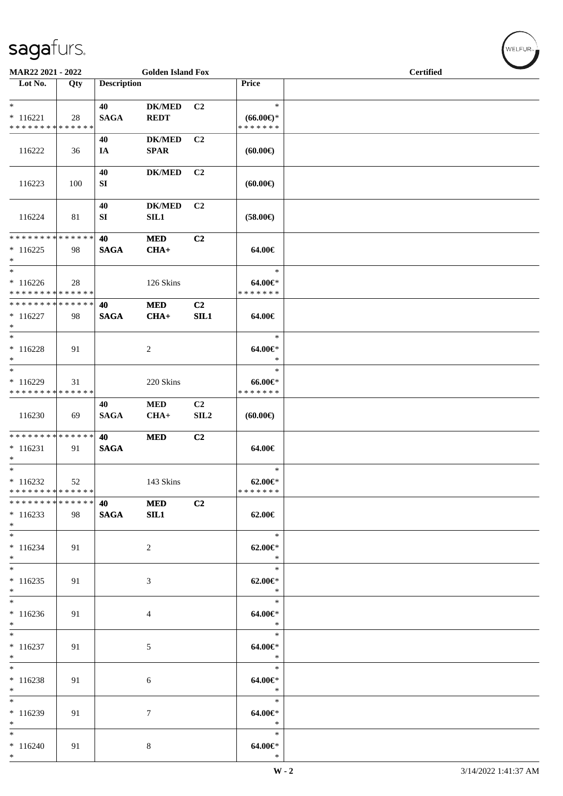| MAR22 2021 - 2022                                                      |                                  |                    | <b>Golden Island Fox</b>     |                                    |                                         | <b>Certified</b> | $\overline{\phantom{0}}$ |
|------------------------------------------------------------------------|----------------------------------|--------------------|------------------------------|------------------------------------|-----------------------------------------|------------------|--------------------------|
| Lot No.                                                                | Qty                              | <b>Description</b> |                              |                                    | Price                                   |                  |                          |
| $*$<br>$* 116221$<br>* * * * * * * * * * * * * *                       | 28                               | 40<br><b>SAGA</b>  | <b>DK/MED</b><br><b>REDT</b> | C <sub>2</sub>                     | $\ast$<br>$(66.00ε)$ *<br>* * * * * * * |                  |                          |
| 116222                                                                 | 36                               | 40<br>IA           | <b>DK/MED</b><br><b>SPAR</b> | C <sub>2</sub>                     | (60.00)                                 |                  |                          |
| 116223                                                                 | 100                              | 40<br>SI           | <b>DK/MED</b>                | C <sub>2</sub>                     | (60.00)                                 |                  |                          |
| 116224                                                                 | 81                               | 40<br>SI           | <b>DK/MED</b><br>SL1         | C <sub>2</sub>                     | $(58.00\epsilon)$                       |                  |                          |
| * * * * * * * * * * * * * * *<br>$*116225$<br>$*$                      | 98                               | 40<br><b>SAGA</b>  | <b>MED</b><br>$CHA+$         | C2                                 | 64.00€                                  |                  |                          |
| $\overline{\phantom{0}}$<br>$*116226$<br>* * * * * * * * * * * * * *   | 28                               |                    | 126 Skins                    |                                    | $\ast$<br>64.00€*<br>* * * * * * *      |                  |                          |
| * * * * * * * * * * * * * * *<br>$*116227$<br>$*$                      | 98                               | 40<br><b>SAGA</b>  | <b>MED</b><br>$CHA+$         | C <sub>2</sub><br>SIL1             | 64.00€                                  |                  |                          |
| $*$<br>$* 116228$<br>$*$                                               | 91                               |                    | 2                            |                                    | $\ast$<br>64.00€*<br>$\ast$             |                  |                          |
| $*$<br>$*116229$<br>* * * * * * * * * * * * * *                        | 31                               |                    | 220 Skins                    |                                    | $\ast$<br>$66.00 \in$<br>* * * * * * *  |                  |                          |
| 116230                                                                 | 69                               | 40<br><b>SAGA</b>  | <b>MED</b><br>$CHA+$         | C <sub>2</sub><br>SIL <sub>2</sub> | (60.00)                                 |                  |                          |
| * * * * * * * * * * * * * * *<br>$* 116231$<br>$*$                     | 91                               | 40<br><b>SAGA</b>  | <b>MED</b>                   | C <sub>2</sub>                     | 64.00€                                  |                  |                          |
| $\overline{\phantom{0}}$<br>$*116232$<br>* * * * * * * * * * * * * * * | 52                               |                    | 143 Skins                    |                                    | $\ast$<br>$62.00 \in$ *<br>*******      |                  |                          |
| * * * * * * * *<br>$*116233$<br>$*$                                    | * * * * * * <mark>*</mark><br>98 | 40<br><b>SAGA</b>  | <b>MED</b><br>SL1            | C <sub>2</sub>                     | 62.00€                                  |                  |                          |
| $*$<br>$* 116234$<br>$*$                                               | 91                               |                    | 2                            |                                    | $\ast$<br>$62.00 \in$ *<br>$\ast$       |                  |                          |
| $*$<br>$*116235$<br>$*$                                                | 91                               |                    | 3                            |                                    | $\ast$<br>$62.00 \in$ *<br>$\ast$       |                  |                          |
| $*$<br>$*116236$<br>$*$                                                | 91                               |                    | $\overline{4}$               |                                    | $\ast$<br>64.00€*<br>$\ast$             |                  |                          |
| $*$<br>$* 116237$<br>$*$                                               | 91                               |                    | 5                            |                                    | $\ast$<br>64.00€*<br>$\ast$             |                  |                          |
| $*$<br>$*116238$<br>$*$                                                | 91                               |                    | 6                            |                                    | $\ast$<br>64.00€*<br>$\ast$             |                  |                          |
| $*$<br>$*116239$<br>$*$                                                | 91                               |                    | $\tau$                       |                                    | $\ast$<br>64.00€*<br>$\ast$             |                  |                          |
| $*$<br>$*116240$<br>$*$                                                | 91                               |                    | 8                            |                                    | $\ast$<br>$64.00 \in$<br>$\ast$         |                  |                          |

 $(\forall ELFUR_{\approx})$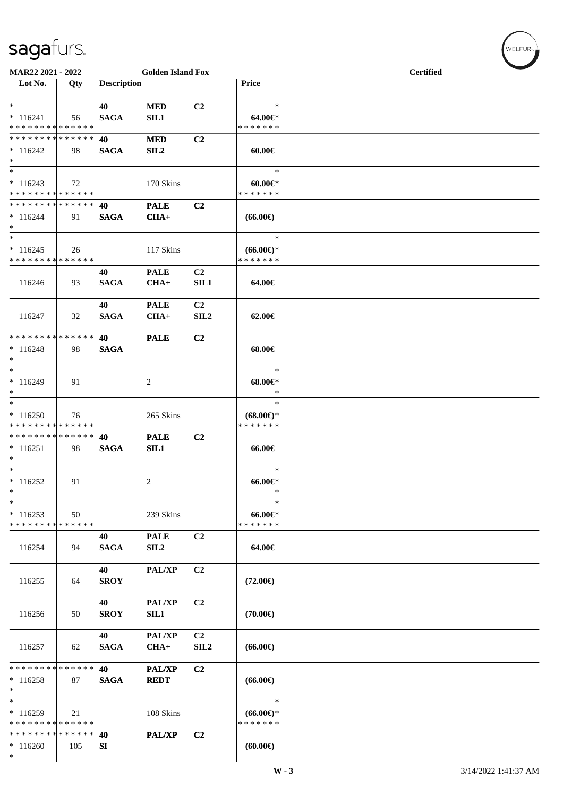| MAR22 2021 - 2022                                                       |                   |                    | <b>Golden Island Fox</b>     |                                    |                                                | <b>Certified</b> |  |
|-------------------------------------------------------------------------|-------------------|--------------------|------------------------------|------------------------------------|------------------------------------------------|------------------|--|
| Lot No.                                                                 | Qty               | <b>Description</b> |                              |                                    | <b>Price</b>                                   |                  |  |
| $*$<br>$*116241$                                                        | 56                | 40<br><b>SAGA</b>  | <b>MED</b><br>SIL1           | C2                                 | $\ast$<br>$64.00 \in$ *                        |                  |  |
| * * * * * * * * * * * * * *<br>* * * * * * * * * * * * * *<br>$*116242$ | 98                | 40<br><b>SAGA</b>  | <b>MED</b><br>SL2            | C2                                 | * * * * * * *<br>$60.00 \in$                   |                  |  |
| $*$<br>$*$<br>$*116243$                                                 | 72                |                    | 170 Skins                    |                                    | $\ast$<br>$60.00 \in$                          |                  |  |
| * * * * * * * * * * * * * *<br>* * * * * * * * * * * * * *              |                   | 40                 | <b>PALE</b>                  | C <sub>2</sub>                     | * * * * * * *                                  |                  |  |
| $*116244$<br>$*$<br>$*$                                                 | 91                | <b>SAGA</b>        | $CHA+$                       |                                    | $(66.00\epsilon)$<br>$\ast$                    |                  |  |
| $*116245$<br>* * * * * * * * * * * * * *                                | 26                |                    | 117 Skins                    |                                    | $(66.00ε)$ *<br>* * * * * * *                  |                  |  |
| 116246                                                                  | 93                | 40<br><b>SAGA</b>  | <b>PALE</b><br>$CHA+$        | C2<br>SIL1                         | 64.00€                                         |                  |  |
| 116247                                                                  | 32                | 40<br><b>SAGA</b>  | <b>PALE</b><br>$CHA+$        | C <sub>2</sub><br>SIL <sub>2</sub> | 62.00€                                         |                  |  |
| * * * * * * * *<br>$* 116248$<br>$*$                                    | * * * * * *<br>98 | 40<br><b>SAGA</b>  | <b>PALE</b>                  | C <sub>2</sub>                     | 68.00€                                         |                  |  |
| $*$<br>$* 116249$<br>$\ast$                                             | 91                |                    | 2                            |                                    | $\ast$<br>$68.00 \text{E}$<br>$\ast$           |                  |  |
| $*$<br>$*116250$<br>* * * * * * * * * * * * * *                         | 76                |                    | 265 Skins                    |                                    | $\ast$<br>$(68.00\epsilon)$ *<br>* * * * * * * |                  |  |
| * * * * * * * * * * * * * *<br>$*116251$<br>$*$                         | 98                | 40<br><b>SAGA</b>  | <b>PALE</b><br>SL1           | C2                                 | 66.00€                                         |                  |  |
| $*$<br>$* 116252$<br>$\ast$                                             | 91                |                    | 2                            |                                    | $\ast$<br>$66.00 \in$<br>$\ast$                |                  |  |
| $\ast$<br>$*116253$<br>* * * * * * * * * * * * * *                      | 50                |                    | 239 Skins                    |                                    | $\ast$<br>66.00€<br>* * * * * * *              |                  |  |
| 116254                                                                  | 94                | 40<br><b>SAGA</b>  | <b>PALE</b><br>SL2           | C2                                 | 64.00€                                         |                  |  |
| 116255                                                                  | 64                | 40<br><b>SROY</b>  | PAL/XP                       | C2                                 | $(72.00\epsilon)$                              |                  |  |
| 116256                                                                  | 50                | 40<br><b>SROY</b>  | <b>PAL/XP</b><br>SIL1        | C2                                 | $(70.00\epsilon)$                              |                  |  |
| 116257                                                                  | 62                | 40<br><b>SAGA</b>  | PAL/XP<br>$CHA+$             | C <sub>2</sub><br>SLL2             | $(66.00\epsilon)$                              |                  |  |
| * * * * * * * * * * * * * *<br>$*116258$<br>$*$                         | 87                | 40<br><b>SAGA</b>  | <b>PAL/XP</b><br><b>REDT</b> | C2                                 | $(66.00\epsilon)$                              |                  |  |
| $\ast$<br>$*116259$<br>* * * * * * * * * * * * * *                      | 21                |                    | 108 Skins                    |                                    | $\ast$<br>$(66.00\epsilon)$ *<br>* * * * * * * |                  |  |
| * * * * * * * * * * * * * *<br>$*116260$<br>$\ast$                      | 105               | 40<br>SI           | <b>PAL/XP</b>                | C2                                 | (60.00)                                        |                  |  |

 $(w$ elfur<sub>m</sub>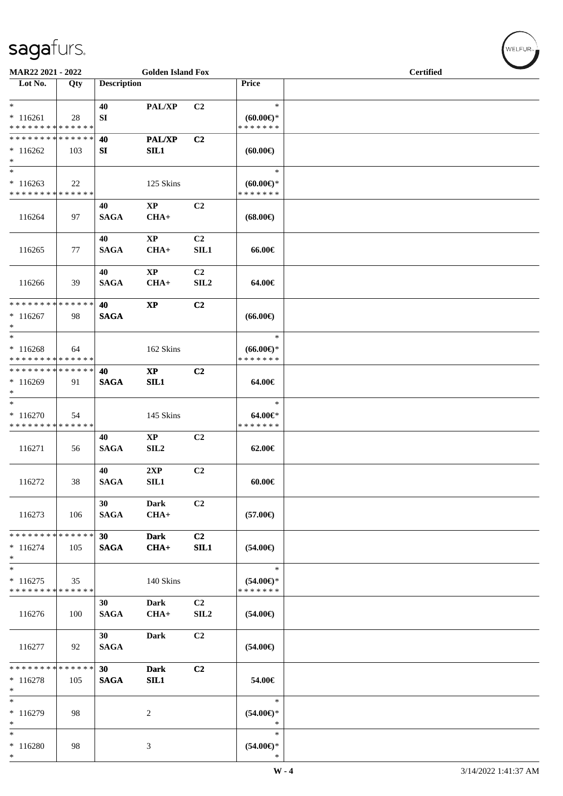| MAR22 2021 - 2022                                                              |     |                    | <b>Golden Island Fox</b> |                                    |                                                | <b>Certified</b> |  |
|--------------------------------------------------------------------------------|-----|--------------------|--------------------------|------------------------------------|------------------------------------------------|------------------|--|
| Lot No.                                                                        | Qty | <b>Description</b> |                          |                                    | Price                                          |                  |  |
| $*$<br>$*116261$                                                               | 28  | 40<br>SI           | PAL/XP                   | C2                                 | $\ast$<br>$(60.00\varepsilon)$ *               |                  |  |
| * * * * * * * * * * * * * *<br>* * * * * * * * * * * * * *<br>$*116262$<br>$*$ | 103 | 40<br>SI           | <b>PAL/XP</b><br>SIL1    | C2                                 | * * * * * * *<br>(60.00)                       |                  |  |
| $*$<br>$*116263$<br>* * * * * * * * * * * * * *                                | 22  |                    | 125 Skins                |                                    | $\ast$<br>$(60.00\epsilon)$ *<br>* * * * * * * |                  |  |
| 116264                                                                         | 97  | 40<br><b>SAGA</b>  | <b>XP</b><br>$CHA+$      | C <sub>2</sub>                     | $(68.00\epsilon)$                              |                  |  |
| 116265                                                                         | 77  | 40<br><b>SAGA</b>  | $\bold{XP}$<br>$CHA+$    | C <sub>2</sub><br>SIL1             | 66.00€                                         |                  |  |
| 116266                                                                         | 39  | 40<br><b>SAGA</b>  | $\bold{XP}$<br>$CHA+$    | C <sub>2</sub><br>SIL <sub>2</sub> | 64.00€                                         |                  |  |
| * * * * * * * * * * * * * *<br>$*116267$<br>$*$                                | 98  | 40<br><b>SAGA</b>  | <b>XP</b>                | C2                                 | $(66.00\epsilon)$                              |                  |  |
| $*$<br>$*116268$<br>* * * * * * * * * * * * * *                                | 64  |                    | 162 Skins                |                                    | $\ast$<br>$(66.00\epsilon)$ *<br>* * * * * * * |                  |  |
| * * * * * * * * * * * * * *<br>$*116269$<br>$*$                                | 91  | 40<br><b>SAGA</b>  | <b>XP</b><br>SL1         | C2                                 | 64.00€                                         |                  |  |
| $*$<br>$*116270$<br>* * * * * * * * * * * * * *                                | 54  |                    | 145 Skins                |                                    | $\ast$<br>64.00€<br>* * * * * * *              |                  |  |
| 116271                                                                         | 56  | 40<br><b>SAGA</b>  | <b>XP</b><br>SL2         | C <sub>2</sub>                     | $62.00 \in$                                    |                  |  |
| 116272                                                                         | 38  | 40<br><b>SAGA</b>  | 2XP<br>SIL1              | C2                                 | $60.00 \in$                                    |                  |  |
| 116273                                                                         | 106 | 30<br><b>SAGA</b>  | <b>Dark</b><br>$CHA+$    | C2                                 | $(57.00\epsilon)$                              |                  |  |
| * * * * * * * * * * * * * *<br>$* 116274$<br>$*$                               | 105 | 30<br><b>SAGA</b>  | <b>Dark</b><br>$CHA+$    | C <sub>2</sub><br>SIL1             | $(54.00\epsilon)$                              |                  |  |
| $\ast$<br>$*116275$<br>* * * * * * * * * * * * * *                             | 35  |                    | 140 Skins                |                                    | $\ast$<br>$(54.00\epsilon)$ *<br>* * * * * * * |                  |  |
| 116276                                                                         | 100 | 30<br><b>SAGA</b>  | Dark<br>$CHA+$           | C <sub>2</sub><br>SIL <sub>2</sub> | $(54.00\epsilon)$                              |                  |  |
| 116277                                                                         | 92  | 30<br><b>SAGA</b>  | Dark                     | C <sub>2</sub>                     | $(54.00\epsilon)$                              |                  |  |
| * * * * * * * * * * * * * *<br>$*116278$<br>$*$                                | 105 | 30<br><b>SAGA</b>  | <b>Dark</b><br>SL1       | C2                                 | 54.00€                                         |                  |  |
| $*$<br>$*116279$<br>$\ast$                                                     | 98  |                    | 2                        |                                    | $\ast$<br>$(54.00ε)$ *<br>$\ast$               |                  |  |
| $*$<br>$*116280$<br>$*$                                                        | 98  |                    | 3                        |                                    | $\ast$<br>$(54.00\in)^\ast$<br>$\ast$          |                  |  |

 $(\forall ELFUR$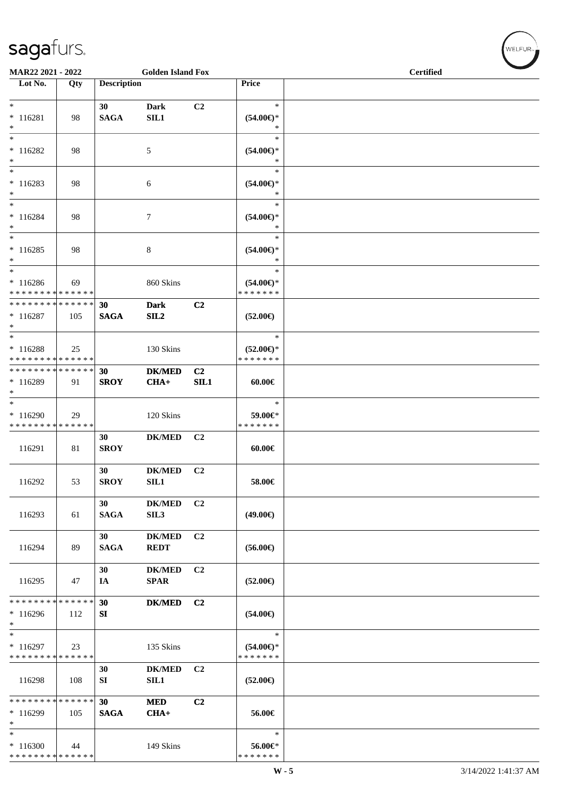| MAR22 2021 - 2022                                  |     |                    | <b>Golden Island Fox</b>          |                        |                                                | <b>Certified</b> |  |
|----------------------------------------------------|-----|--------------------|-----------------------------------|------------------------|------------------------------------------------|------------------|--|
| Lot No.                                            | Qty | <b>Description</b> |                                   |                        | Price                                          |                  |  |
| $\ast$<br>$* 116281$<br>$\ast$                     | 98  | 30<br><b>SAGA</b>  | <b>Dark</b><br>SIL1               | C2                     | $\ast$<br>$(54.00\epsilon)$ *<br>$\ast$        |                  |  |
| $\ast$<br>$*116282$<br>$\ast$                      | 98  |                    | 5                                 |                        | $\ast$<br>$(54.00\epsilon)$ *<br>$\ast$        |                  |  |
| $\ast$<br>$*116283$<br>$\ast$                      | 98  |                    | 6                                 |                        | $\ast$<br>$(54.00ε)$ *                         |                  |  |
| $\ast$<br>$* 116284$<br>$\ast$                     | 98  |                    | $\overline{7}$                    |                        | $\ast$<br>$(54.00ε)$ *<br>$\ast$               |                  |  |
| $\ast$<br>$*116285$<br>$\ast$                      | 98  |                    | $\,8\,$                           |                        | $\ast$<br>$(54.00ε)$ *<br>$\ast$               |                  |  |
| $\ast$<br>$*116286$<br>* * * * * * * * * * * * * * | 69  |                    | 860 Skins                         |                        | $\ast$<br>$(54.00\epsilon)$ *<br>* * * * * * * |                  |  |
| **************<br>$* 116287$<br>$\ast$             | 105 | 30<br><b>SAGA</b>  | <b>Dark</b><br>SL2                | C2                     | $(52.00\epsilon)$                              |                  |  |
| $\ast$<br>$*116288$<br>* * * * * * * * * * * * * * | 25  |                    | 130 Skins                         |                        | $\ast$<br>$(52.00\epsilon)$ *<br>* * * * * * * |                  |  |
| * * * * * * * * * * * * * *<br>* 116289<br>$\ast$  | 91  | 30<br><b>SROY</b>  | <b>DK/MED</b><br>$CHA+$           | C <sub>2</sub><br>SIL1 | $60.00 \in$                                    |                  |  |
| $\ast$<br>$*116290$<br>* * * * * * * * * * * * * * | 29  |                    | 120 Skins                         |                        | $\ast$<br>59.00€*<br>* * * * * * *             |                  |  |
| 116291                                             | 81  | 30<br><b>SROY</b>  | <b>DK/MED</b>                     | C2                     | $60.00 \in$                                    |                  |  |
| 116292                                             | 53  | 30<br><b>SROY</b>  | <b>DK/MED</b><br>SL1              | C <sub>2</sub>         | 58.00€                                         |                  |  |
| 116293                                             | 61  | 30<br><b>SAGA</b>  | <b>DK/MED</b><br>SIL <sub>3</sub> | C <sub>2</sub>         | $(49.00\epsilon)$                              |                  |  |
| 116294                                             | 89  | 30<br><b>SAGA</b>  | <b>DK/MED</b><br><b>REDT</b>      | C2                     | $(56.00\epsilon)$                              |                  |  |
| 116295                                             | 47  | 30<br>IA           | <b>DK/MED</b><br><b>SPAR</b>      | C2                     | $(52.00\epsilon)$                              |                  |  |
| * * * * * * * * * * * * * *<br>$*116296$<br>$\ast$ | 112 | 30<br>SI           | <b>DK/MED</b>                     | C2                     | $(54.00\epsilon)$                              |                  |  |
| $\ast$<br>$*116297$<br>* * * * * * * * * * * * * * | 23  |                    | 135 Skins                         |                        | $\ast$<br>$(54.00\epsilon)$ *<br>* * * * * * * |                  |  |
| 116298                                             | 108 | 30<br>SI           | <b>DK/MED</b><br>SL1              | C <sub>2</sub>         | $(52.00\epsilon)$                              |                  |  |
| * * * * * * * * * * * * * *<br>$*116299$<br>$\ast$ | 105 | 30<br><b>SAGA</b>  | <b>MED</b><br>$CHA+$              | C2                     | 56.00€                                         |                  |  |
| $\ast$<br>$*116300$<br>* * * * * * * * * * * * * * | 44  |                    | 149 Skins                         |                        | $\ast$<br>56.00€*<br>* * * * * * *             |                  |  |

 $(\forall$ ELFUR<sub><sup>n</sub></sub></sub></sup>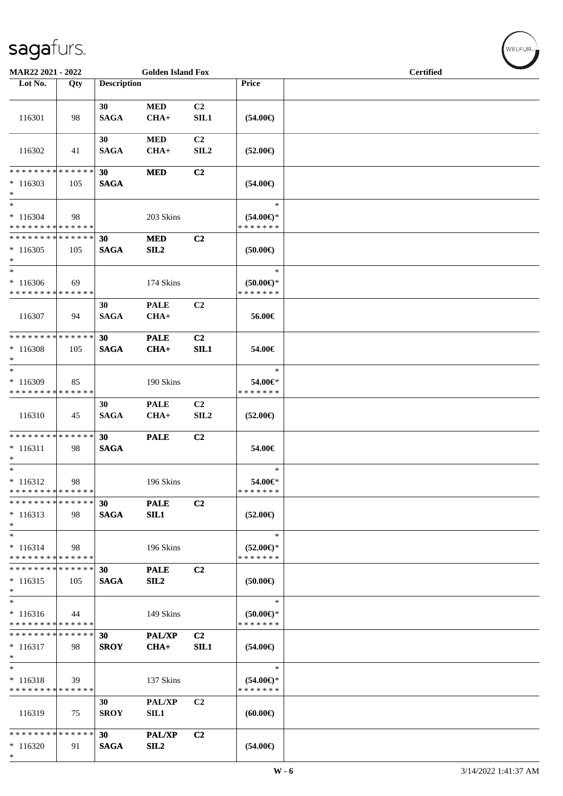| MAR22 2021 - 2022                                   |     |                    | <b>Golden Island Fox</b> |                                    |                                                | <b>Certified</b> |  |
|-----------------------------------------------------|-----|--------------------|--------------------------|------------------------------------|------------------------------------------------|------------------|--|
| Lot No.                                             | Qty | <b>Description</b> |                          |                                    | Price                                          |                  |  |
| 116301                                              | 98  | 30<br><b>SAGA</b>  | <b>MED</b><br>$CHA+$     | C <sub>2</sub><br>SIL1             | $(54.00\epsilon)$                              |                  |  |
| 116302                                              | 41  | 30<br><b>SAGA</b>  | <b>MED</b><br>$CHA+$     | C <sub>2</sub><br>SLL2             | $(52.00\epsilon)$                              |                  |  |
| * * * * * * * * * * * * * *<br>$*116303$<br>$\ast$  | 105 | 30<br><b>SAGA</b>  | <b>MED</b>               | C2                                 | $(54.00\epsilon)$                              |                  |  |
| $*$<br>$*116304$<br>* * * * * * * * * * * * * *     | 98  |                    | 203 Skins                |                                    | $\ast$<br>$(54.00\epsilon)$ *<br>* * * * * * * |                  |  |
| * * * * * * * * * * * * * *<br>$*116305$<br>$\ast$  | 105 | 30<br><b>SAGA</b>  | <b>MED</b><br>SL2        | C <sub>2</sub>                     | (50.00)                                        |                  |  |
| $\ast$<br>$*116306$<br>* * * * * * * * * * * * * *  | 69  |                    | 174 Skins                |                                    | $\ast$<br>$(50.00 \in )^*$<br>* * * * * * *    |                  |  |
| 116307                                              | 94  | 30<br><b>SAGA</b>  | <b>PALE</b><br>$CHA+$    | C2                                 | 56.00€                                         |                  |  |
| * * * * * * * * * * * * * * *<br>$*116308$<br>$*$   | 105 | 30<br><b>SAGA</b>  | <b>PALE</b><br>$CHA+$    | C <sub>2</sub><br>SIL1             | 54.00€                                         |                  |  |
| $*$<br>* 116309<br>* * * * * * * * * * * * * *      | 85  |                    | 190 Skins                |                                    | $\ast$<br>54.00€*<br>* * * * * * *             |                  |  |
| 116310                                              | 45  | 30<br><b>SAGA</b>  | <b>PALE</b><br>$CHA+$    | C <sub>2</sub><br>SIL <sub>2</sub> | $(52.00\epsilon)$                              |                  |  |
| * * * * * * * * * * * * * *<br>$* 116311$<br>$\ast$ | 98  | 30<br><b>SAGA</b>  | <b>PALE</b>              | C2                                 | 54.00€                                         |                  |  |
| $*$<br>$* 116312$<br>* * * * * * * * * * * * * *    | 98  |                    | 196 Skins                |                                    | $\ast$<br>54.00€*<br>* * * * * * *             |                  |  |
| * * * * * * * * * * * * * *<br>$*116313$<br>$*$     | 98  | 30<br><b>SAGA</b>  | <b>PALE</b><br>SL1       | C <sub>2</sub>                     | $(52.00\epsilon)$                              |                  |  |
| $*$<br>$* 116314$<br>* * * * * * * * * * * * * *    | 98  |                    | 196 Skins                |                                    | $\ast$<br>$(52.00\epsilon)$ *<br>* * * * * * * |                  |  |
| * * * * * * * * * * * * * *<br>$*116315$<br>$*$     | 105 | 30<br><b>SAGA</b>  | <b>PALE</b><br>SL2       | C2                                 | (50.00)                                        |                  |  |
| $\ast$<br>$*116316$<br>* * * * * * * * * * * * * *  | 44  |                    | 149 Skins                |                                    | $\ast$<br>$(50.00 \in )$ *<br>* * * * * * *    |                  |  |
| * * * * * * * * * * * * * *<br>$*116317$<br>$*$     | 98  | 30<br><b>SROY</b>  | <b>PAL/XP</b><br>CHA+    | C <sub>2</sub><br>SIL1             | $(54.00\epsilon)$                              |                  |  |
| $*$<br>$* 116318$<br>* * * * * * * * * * * * * *    | 39  |                    | 137 Skins                |                                    | $\ast$<br>$(54.00\epsilon)$ *<br>* * * * * * * |                  |  |
| 116319                                              | 75  | 30<br><b>SROY</b>  | <b>PAL/XP</b><br>SIL1    | C <sub>2</sub>                     | (60.00)                                        |                  |  |
| * * * * * * * * * * * * * *<br>$*116320$<br>$*$     | 91  | 30<br><b>SAGA</b>  | <b>PAL/XP</b><br>SL2     | C <sub>2</sub>                     | $(54.00\in)$                                   |                  |  |

 $(w$ ELFUR<sub><sup>n</sub></sub></sub></sup>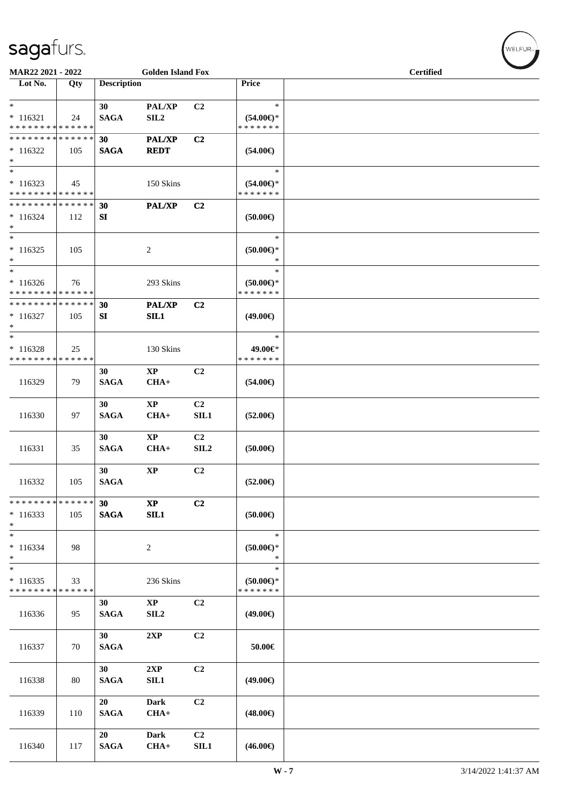| MAR22 2021 - 2022                                  |                    |                    | <b>Golden Island Fox</b>        |                                    |                                                   | <b>Certified</b> |  |
|----------------------------------------------------|--------------------|--------------------|---------------------------------|------------------------------------|---------------------------------------------------|------------------|--|
| Lot No.                                            | Qty                | <b>Description</b> |                                 |                                    | Price                                             |                  |  |
| $*$<br>$* 116321$<br>* * * * * * * * * * * * * *   | 24                 | 30<br><b>SAGA</b>  | PAL/XP<br>SL2                   | C2                                 | $\ast$<br>$(54.00ε)$ *<br>* * * * * * *           |                  |  |
| * * * * * * * * * * * * * *<br>$*116322$<br>$*$    | 105                | 30<br><b>SAGA</b>  | PAL/XP<br><b>REDT</b>           | C2                                 | $(54.00\epsilon)$                                 |                  |  |
| $*$<br>$*116323$<br>* * * * * * * * * * * * * *    | 45                 |                    | 150 Skins                       |                                    | $\ast$<br>$(54.00\epsilon)$ *<br>* * * * * * *    |                  |  |
| * * * * * * * * * * * * * *<br>$*116324$<br>$*$    | 112                | 30<br>SI           | PAL/XP                          | C2                                 | (50.00)                                           |                  |  |
| $\ast$<br>$* 116325$<br>$*$                        | 105                |                    | 2                               |                                    | $\ast$<br>$(50.00ε)$ *<br>$\ast$                  |                  |  |
| $*$<br>$*116326$<br>* * * * * * * * * * * * * *    | 76                 |                    | 293 Skins                       |                                    | $\ast$<br>$(50.00\varepsilon)$ *<br>* * * * * * * |                  |  |
| * * * * * * * * * * * * * *<br>$*116327$<br>$\ast$ | 105                | 30<br>SI           | <b>PAL/XP</b><br>SL1            | C2                                 | $(49.00\epsilon)$                                 |                  |  |
| $*$<br>$*116328$<br>* * * * * * * * * * * * * *    | 25                 |                    | 130 Skins                       |                                    | $\ast$<br>49.00€*<br>* * * * * * *                |                  |  |
| 116329                                             | 79                 | 30<br><b>SAGA</b>  | <b>XP</b><br>$CHA+$             | C <sub>2</sub>                     | $(54.00\epsilon)$                                 |                  |  |
| 116330                                             | 97                 | 30<br><b>SAGA</b>  | $\bold{XP}$<br>$CHA+$           | C <sub>2</sub><br>SIL1             | $(52.00\epsilon)$                                 |                  |  |
| 116331                                             | 35                 | 30<br><b>SAGA</b>  | $\bold{XP}$<br>$CHA+$           | C <sub>2</sub><br>SIL <sub>2</sub> | (50.00)                                           |                  |  |
| 116332                                             | 105                | 30<br><b>SAGA</b>  | <b>XP</b>                       | C <sub>2</sub>                     | $(52.00\epsilon)$                                 |                  |  |
| * * * * * * * *<br>$*116333$<br>$*$                | * * * * * *<br>105 | 30<br><b>SAGA</b>  | <b>XP</b><br>SIL1               | C2                                 | $(50.00\in)$                                      |                  |  |
| $\ast$<br>$* 116334$<br>$\ast$                     | 98                 |                    | $\boldsymbol{2}$                |                                    | $\ast$<br>$(50.00 \in )^*$<br>$\ast$              |                  |  |
| $*$<br>$*116335$<br>* * * * * * * * * * * * * *    | 33                 |                    | 236 Skins                       |                                    | $\ast$<br>$(50.00\varepsilon)$ *<br>* * * * * * * |                  |  |
| 116336                                             | 95                 | 30<br><b>SAGA</b>  | $\bold{XP}$<br>SIL <sub>2</sub> | C2                                 | $(49.00\epsilon)$                                 |                  |  |
| 116337                                             | 70                 | 30<br><b>SAGA</b>  | 2XP                             | C2                                 | 50.00€                                            |                  |  |
| 116338                                             | 80                 | 30<br><b>SAGA</b>  | 2XP<br>SIL1                     | C2                                 | $(49.00\epsilon)$                                 |                  |  |
| 116339                                             | 110                | 20<br><b>SAGA</b>  | <b>Dark</b><br>$CHA+$           | C2                                 | $(48.00\epsilon)$                                 |                  |  |
| 116340                                             | 117                | 20<br><b>SAGA</b>  | <b>Dark</b><br>$CHA+$           | C <sub>2</sub><br><b>SIL1</b>      | $(46.00\epsilon)$                                 |                  |  |

 $(w$ ELFUR<sub><sup>n</sub></sub></sub></sup>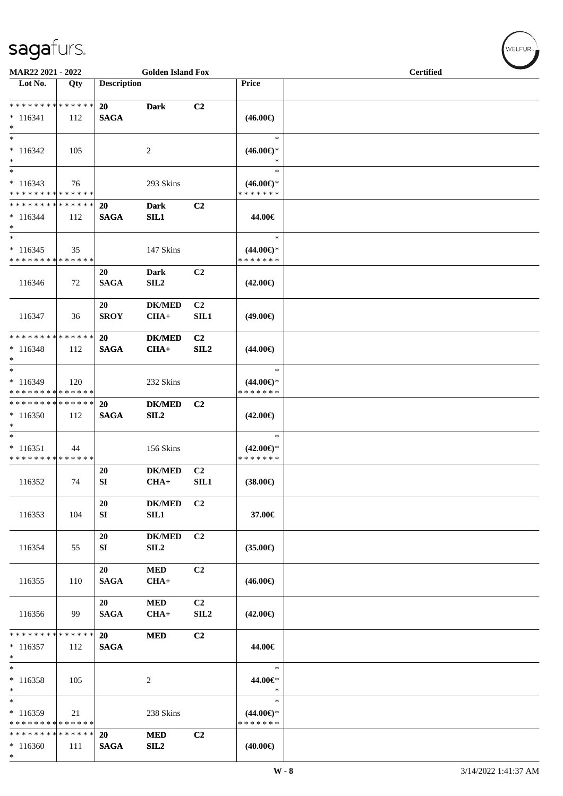\*

| MAR22 2021 - 2022                                  |     |                          | <b>Golden Island Fox</b>          |                                    |                                                | <b>Certified</b> |  |
|----------------------------------------------------|-----|--------------------------|-----------------------------------|------------------------------------|------------------------------------------------|------------------|--|
| Lot No.                                            | Qty | <b>Description</b>       |                                   |                                    | Price                                          |                  |  |
| * * * * * * * * * * * * * *                        |     | 20                       | <b>Dark</b>                       | C2                                 |                                                |                  |  |
| $* 116341$<br>$*$                                  | 112 | <b>SAGA</b>              |                                   |                                    | $(46.00\epsilon)$                              |                  |  |
| $*$<br>$* 116342$<br>$*$                           | 105 |                          | 2                                 |                                    | $\ast$<br>$(46.00\epsilon)$ *<br>$\ast$        |                  |  |
| $*$                                                |     |                          |                                   |                                    | $\ast$                                         |                  |  |
| $*116343$<br>* * * * * * * * * * * * * *           | 76  |                          | 293 Skins                         |                                    | $(46.00\epsilon)$ *<br>* * * * * * *           |                  |  |
| * * * * * * * * * * * * * *<br>$*116344$<br>$*$    | 112 | <b>20</b><br><b>SAGA</b> | Dark<br>SL1                       | C2                                 | 44.00€                                         |                  |  |
| $*$<br>$*116345$<br>* * * * * * * * * * * * * *    | 35  |                          | 147 Skins                         |                                    | $\ast$<br>$(44.00\epsilon)$ *<br>* * * * * * * |                  |  |
| 116346                                             | 72  | 20<br><b>SAGA</b>        | Dark<br>SL2                       | C2                                 | $(42.00\epsilon)$                              |                  |  |
| 116347                                             | 36  | 20<br><b>SROY</b>        | <b>DK/MED</b><br>$CHA+$           | C2<br>SIL1                         | $(49.00\epsilon)$                              |                  |  |
| * * * * * * * * * * * * * *<br>$* 116348$<br>$*$   | 112 | <b>20</b><br><b>SAGA</b> | <b>DK/MED</b><br>$CHA+$           | C2<br>SIL <sub>2</sub>             | $(44.00\epsilon)$                              |                  |  |
| $\ast$<br>$*116349$<br>* * * * * * * * * * * * * * | 120 |                          | 232 Skins                         |                                    | $\ast$<br>$(44.00\epsilon)$ *<br>* * * * * * * |                  |  |
| * * * * * * * * * * * * * *<br>$*116350$<br>$*$    | 112 | <b>20</b><br><b>SAGA</b> | <b>DK/MED</b><br>SL2              | C2                                 | $(42.00\epsilon)$                              |                  |  |
| $*$<br>$*116351$<br>* * * * * * * * * * * * * *    | 44  |                          | 156 Skins                         |                                    | $\ast$<br>$(42.00\epsilon)$ *<br>* * * * * * * |                  |  |
| 116352                                             | 74  | 20<br>SI                 | <b>DK/MED</b><br>$CHA+$           | C <sub>2</sub><br>SIL1             | $(38.00\epsilon)$                              |                  |  |
| 116353                                             | 104 | 20<br>${\bf SI}$         | <b>DK/MED</b><br>SIL1             | C <sub>2</sub>                     | 37.00€                                         |                  |  |
| 116354                                             | 55  | 20<br>SI                 | <b>DK/MED</b><br>SIL <sub>2</sub> | C2                                 | $(35.00\epsilon)$                              |                  |  |
| 116355                                             | 110 | 20<br><b>SAGA</b>        | <b>MED</b><br>$CHA+$              | C <sub>2</sub>                     | $(46.00\epsilon)$                              |                  |  |
| 116356                                             | 99  | 20<br><b>SAGA</b>        | <b>MED</b><br>$CHA+$              | C <sub>2</sub><br>SIL <sub>2</sub> | $(42.00\epsilon)$                              |                  |  |
| * * * * * * * * * * * * * *<br>$*116357$<br>$*$    | 112 | <b>20</b><br><b>SAGA</b> | <b>MED</b>                        | C <sub>2</sub>                     | 44.00€                                         |                  |  |
| $*$<br>$*116358$<br>$*$                            | 105 |                          | 2                                 |                                    | $\ast$<br>44.00€*<br>$\ast$                    |                  |  |
| $\ast$<br>$*116359$<br>* * * * * * * * * * * * * * | 21  |                          | 238 Skins                         |                                    | $\ast$<br>$(44.00\epsilon)$ *<br>* * * * * * * |                  |  |
| * * * * * * * * * * * * * *<br>$*116360$           | 111 | <b>20</b><br><b>SAGA</b> | <b>MED</b><br>SL2                 | C <sub>2</sub>                     | $(40.00\epsilon)$                              |                  |  |

 $w$ ELFUR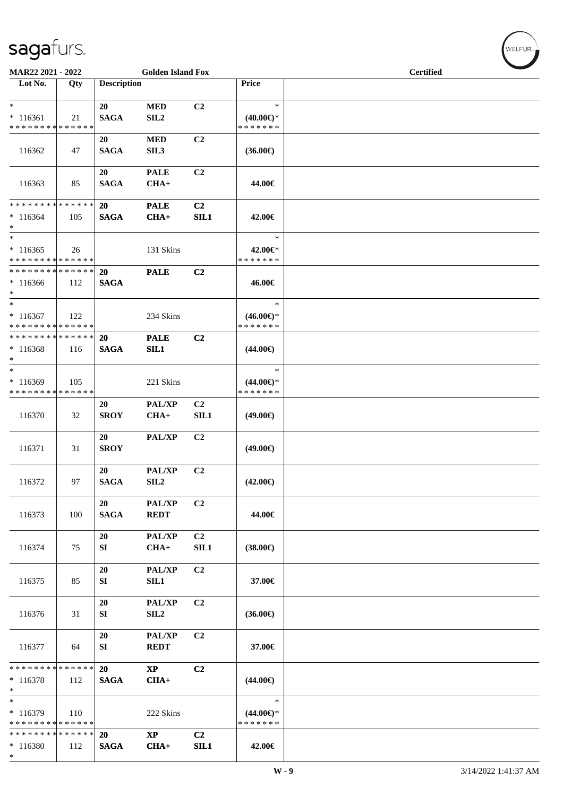| MAR22 2021 - 2022                        |     |                    | <b>Golden Island Fox</b> |                |                               | <b>Certified</b> |  |
|------------------------------------------|-----|--------------------|--------------------------|----------------|-------------------------------|------------------|--|
| Lot No.                                  | Qty | <b>Description</b> |                          |                | Price                         |                  |  |
|                                          |     |                    |                          |                |                               |                  |  |
| $*$                                      |     | 20                 | <b>MED</b>               | C <sub>2</sub> | $\ast$                        |                  |  |
| $*116361$                                | 21  | <b>SAGA</b>        | SIL <sub>2</sub>         |                | $(40.00\epsilon)$ *           |                  |  |
| * * * * * * * * * * * * * *              |     |                    |                          |                | * * * * * * *                 |                  |  |
|                                          |     | 20                 | <b>MED</b>               | C2             |                               |                  |  |
| 116362                                   | 47  | <b>SAGA</b>        | SIL3                     |                | $(36.00\epsilon)$             |                  |  |
|                                          |     |                    |                          |                |                               |                  |  |
|                                          |     | 20                 | <b>PALE</b>              | C <sub>2</sub> |                               |                  |  |
| 116363                                   | 85  | <b>SAGA</b>        | $CHA+$                   |                | 44.00€                        |                  |  |
|                                          |     |                    |                          |                |                               |                  |  |
| * * * * * * * * * * * * * *              |     | 20                 | <b>PALE</b>              | C2             |                               |                  |  |
| $*116364$                                | 105 | <b>SAGA</b>        | $CHA+$                   | SIL1           | 42.00€                        |                  |  |
| $*$                                      |     |                    |                          |                |                               |                  |  |
|                                          |     |                    |                          |                | $\ast$                        |                  |  |
| $*116365$                                | 26  |                    | 131 Skins                |                | 42.00€*                       |                  |  |
| * * * * * * * * * * * * * *              |     |                    |                          |                | * * * * * * *                 |                  |  |
| * * * * * * * * * * * * * * *            |     | 20                 | <b>PALE</b>              | C <sub>2</sub> |                               |                  |  |
| $*116366$                                | 112 | <b>SAGA</b>        |                          |                | 46.00€                        |                  |  |
| $*$                                      |     |                    |                          |                |                               |                  |  |
| $*$                                      |     |                    |                          |                | $\ast$                        |                  |  |
| $*116367$                                | 122 |                    | 234 Skins                |                | $(46.00€)$ *                  |                  |  |
| * * * * * * * * * * * * * *              |     |                    |                          |                | * * * * * * *                 |                  |  |
| * * * * * * * * * * * * * * *            |     | 20                 | <b>PALE</b>              | C <sub>2</sub> |                               |                  |  |
| $*116368$                                | 116 | <b>SAGA</b>        | SL1                      |                | $(44.00\epsilon)$             |                  |  |
| $*$                                      |     |                    |                          |                |                               |                  |  |
| $*$                                      |     |                    |                          |                | $\ast$                        |                  |  |
| $*116369$                                | 105 |                    | 221 Skins                |                | $(44.00€)$ *                  |                  |  |
| * * * * * * * * * * * * * *              |     |                    |                          |                | * * * * * * *                 |                  |  |
|                                          |     | 20                 | <b>PAL/XP</b>            | C <sub>2</sub> |                               |                  |  |
| 116370                                   | 32  | <b>SROY</b>        | $CHA+$                   | SIL1           | $(49.00\epsilon)$             |                  |  |
|                                          |     |                    |                          |                |                               |                  |  |
|                                          |     | 20                 | PAL/XP                   | C2             |                               |                  |  |
| 116371                                   | 31  | <b>SROY</b>        |                          |                | $(49.00\epsilon)$             |                  |  |
|                                          |     |                    |                          |                |                               |                  |  |
|                                          |     | 20                 | PAL/XP                   | C <sub>2</sub> |                               |                  |  |
| 116372                                   | 97  | <b>SAGA</b>        | SIL <sub>2</sub>         |                | $(42.00\epsilon)$             |                  |  |
|                                          |     |                    |                          |                |                               |                  |  |
|                                          |     | 20                 | PAL/XP                   | C2             |                               |                  |  |
| 116373                                   | 100 | <b>SAGA</b>        | <b>REDT</b>              |                | 44.00€                        |                  |  |
|                                          |     |                    |                          |                |                               |                  |  |
|                                          |     | 20                 | PAL/XP                   | C <sub>2</sub> |                               |                  |  |
| 116374                                   | 75  | SI                 | $CHA+$                   | SIL1           | $(38.00\epsilon)$             |                  |  |
|                                          |     |                    |                          |                |                               |                  |  |
|                                          |     | 20                 | PAL/XP                   | C <sub>2</sub> |                               |                  |  |
| 116375                                   | 85  | SI                 | SL1                      |                | 37.00€                        |                  |  |
|                                          |     |                    |                          |                |                               |                  |  |
|                                          |     | 20                 | <b>PAL/XP</b>            | C <sub>2</sub> |                               |                  |  |
| 116376                                   | 31  | SI                 | SIL <sub>2</sub>         |                | $(36.00\epsilon)$             |                  |  |
|                                          |     |                    |                          |                |                               |                  |  |
|                                          |     | 20                 | PAL/XP                   | C2             |                               |                  |  |
| 116377                                   | 64  | SI                 | <b>REDT</b>              |                | 37.00€                        |                  |  |
|                                          |     |                    |                          |                |                               |                  |  |
| * * * * * * * * * * * * * *              |     | 20                 | $\bold{XP}$              | C2             |                               |                  |  |
| $*116378$                                | 112 | <b>SAGA</b>        | $CHA+$                   |                | $(44.00\epsilon)$             |                  |  |
| $*$<br>$*$                               |     |                    |                          |                | $\ast$                        |                  |  |
|                                          |     |                    |                          |                |                               |                  |  |
| $*116379$<br>* * * * * * * * * * * * * * | 110 |                    | 222 Skins                |                | $(44.00€)$ *<br>* * * * * * * |                  |  |
| * * * * * * * * * * * * * *              |     | 20                 | $\mathbf{X}\mathbf{P}$   |                |                               |                  |  |
|                                          |     |                    |                          | C <sub>2</sub> |                               |                  |  |
| $*116380$<br>$\ast$                      | 112 | <b>SAGA</b>        | $CHA+$                   | SIL1           | 42.00€                        |                  |  |
|                                          |     |                    |                          |                |                               |                  |  |

 $w$ ELFUR<sub>m</sub>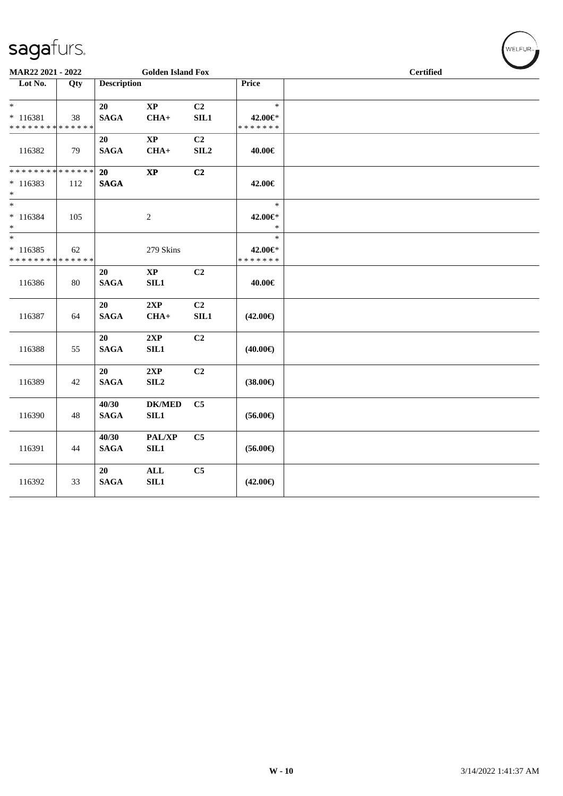|                                                                        | MAR22 2021 - 2022<br>Qty |                      | <b>Golden Island Fox</b>         |                        |                                    | <b>Certified</b> |  |  |  |  |
|------------------------------------------------------------------------|--------------------------|----------------------|----------------------------------|------------------------|------------------------------------|------------------|--|--|--|--|
| Lot No.                                                                |                          | <b>Description</b>   |                                  |                        | Price                              |                  |  |  |  |  |
| $*$<br>$* 116381$<br>* * * * * * * * * * * * * *                       | 38                       | 20<br><b>SAGA</b>    | $\mathbf{X}\mathbf{P}$<br>$CHA+$ | C <sub>2</sub><br>SIL1 | $\ast$<br>42.00€*<br>* * * * * * * |                  |  |  |  |  |
| 116382                                                                 | 79                       | 20<br><b>SAGA</b>    | $\mathbf{X}\mathbf{P}$<br>$CHA+$ | C <sub>2</sub><br>SLL2 | 40.00€                             |                  |  |  |  |  |
| * * * * * * * * * * * * * *<br>$*116383$<br>$*$                        | 112                      | 20<br><b>SAGA</b>    | $\bold{XP}$                      | C2                     | 42.00€                             |                  |  |  |  |  |
| $\ast$<br>$* 116384$<br>$\ast$                                         | 105                      |                      | $\overline{2}$                   |                        | $\ast$<br>42.00€*<br>$\ast$        |                  |  |  |  |  |
| $\overline{\phantom{a}^*}$<br>$*116385$<br>* * * * * * * * * * * * * * | 62                       |                      | 279 Skins                        |                        | $\ast$<br>42.00€*<br>* * * * * * * |                  |  |  |  |  |
| 116386                                                                 | 80                       | 20<br><b>SAGA</b>    | $\mathbf{X}\mathbf{P}$<br>SL1    | C <sub>2</sub>         | 40.00€                             |                  |  |  |  |  |
| 116387                                                                 | 64                       | 20<br><b>SAGA</b>    | 2XP<br>$CHA+$                    | C2<br>SLL1             | $(42.00\epsilon)$                  |                  |  |  |  |  |
| 116388                                                                 | 55                       | 20<br><b>SAGA</b>    | 2XP<br>SL1                       | C2                     | $(40.00\epsilon)$                  |                  |  |  |  |  |
| 116389                                                                 | 42                       | 20<br><b>SAGA</b>    | 2XP<br>SIL <sub>2</sub>          | C2                     | $(38.00\epsilon)$                  |                  |  |  |  |  |
| 116390                                                                 | 48                       | 40/30<br><b>SAGA</b> | <b>DK/MED</b><br>SL1             | C5                     | $(56.00\epsilon)$                  |                  |  |  |  |  |
| 116391                                                                 | 44                       | 40/30<br><b>SAGA</b> | PAL/XP<br>SIL1                   | C <sub>5</sub>         | $(56.00\epsilon)$                  |                  |  |  |  |  |
| 116392                                                                 | 33                       | 20<br><b>SAGA</b>    | ALL<br>SL1                       | C5                     | $(42.00\epsilon)$                  |                  |  |  |  |  |

WELFUR<sub>\*</sub>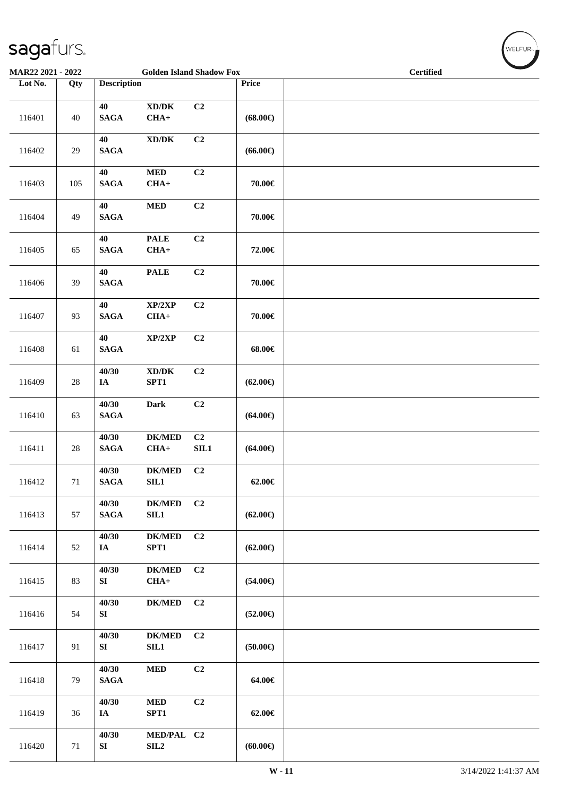| MAR22 2021 - 2022 |        |                           | <b>Golden Island Shadow Fox</b>               |            |                   | <b>Certified</b> | $\sim$ |
|-------------------|--------|---------------------------|-----------------------------------------------|------------|-------------------|------------------|--------|
| Lot No.           | Qty    | <b>Description</b>        |                                               |            | Price             |                  |        |
| 116401            | $40\,$ | 40<br><b>SAGA</b>         | $\bold{X}\bold{D}/\bold{D}\bold{K}$<br>$CHA+$ | C2         | $(68.00\epsilon)$ |                  |        |
| 116402            | 29     | 40<br><b>SAGA</b>         | $\bold{X}\bold{D}/\bold{D}\bold{K}$           | C2         | $(66.00\epsilon)$ |                  |        |
| 116403            | 105    | 40<br><b>SAGA</b>         | $\bf MED$<br>$CHA+$                           | C2         | 70.00€            |                  |        |
| 116404            | 49     | 40<br><b>SAGA</b>         | $\bf MED$                                     | C2         | $70.00 \in$       |                  |        |
| 116405            | 65     | 40<br>$\mathbf{SAGA}$     | <b>PALE</b><br>$CHA+$                         | C2         | 72.00€            |                  |        |
| 116406            | 39     | 40<br><b>SAGA</b>         | <b>PALE</b>                                   | C2         | 70.00€            |                  |        |
| 116407            | 93     | 40<br>$\mathbf{SAGA}$     | XP/2XP<br>$CHA+$                              | C2         | 70.00€            |                  |        |
| 116408            | 61     | 40<br>$\mathbf{SAGA}$     | XP/2XP                                        | C2         | 68.00€            |                  |        |
| 116409            | $28\,$ | 40/30<br><b>IA</b>        | $\bold{X}\bold{D}/\bold{D}\bold{K}$<br>SPT1   | C2         | $(62.00\epsilon)$ |                  |        |
| 116410            | 63     | 40/30<br><b>SAGA</b>      | <b>Dark</b>                                   | C2         | $(64.00\epsilon)$ |                  |        |
| 116411            | $28\,$ | 40/30<br><b>SAGA</b>      | <b>DK/MED</b><br>$CHA+$                       | C2<br>SLL1 | $(64.00\epsilon)$ |                  |        |
| 116412            | 71     | 40/30<br><b>SAGA</b>      | <b>DK/MED</b><br>SIL1                         | C2         | $62.00 \in$       |                  |        |
| 116413            | 57     | 40/30<br><b>SAGA</b>      | <b>DK/MED</b><br>SL1                          | C2         | $(62.00\epsilon)$ |                  |        |
| 116414            | 52     | 40/30<br>IA               | <b>DK/MED</b><br>SPT1                         | C2         | $(62.00\epsilon)$ |                  |        |
| 116415            | 83     | 40/30<br>SI               | <b>DK/MED</b><br>$CHA+$                       | C2         | $(54.00\epsilon)$ |                  |        |
| 116416            | 54     | 40/30<br>SI               | $DK/MED$                                      | C2         | $(52.00\epsilon)$ |                  |        |
| 116417            | 91     | 40/30<br>${\bf S}{\bf I}$ | <b>DK/MED</b><br>SL1                          | C2         | $(50.00\epsilon)$ |                  |        |
| 116418            | 79     | 40/30<br><b>SAGA</b>      | <b>MED</b>                                    | C2         | 64.00€            |                  |        |
| 116419            | 36     | 40/30<br>$I\!\!A$         | <b>MED</b><br>SPT1                            | C2         | 62.00€            |                  |        |
| 116420            | $71\,$ | 40/30<br>${\bf S}{\bf I}$ | MED/PAL C2<br>SIL <sub>2</sub>                |            | $(60.00\epsilon)$ |                  |        |

 $(\forall ELEUR$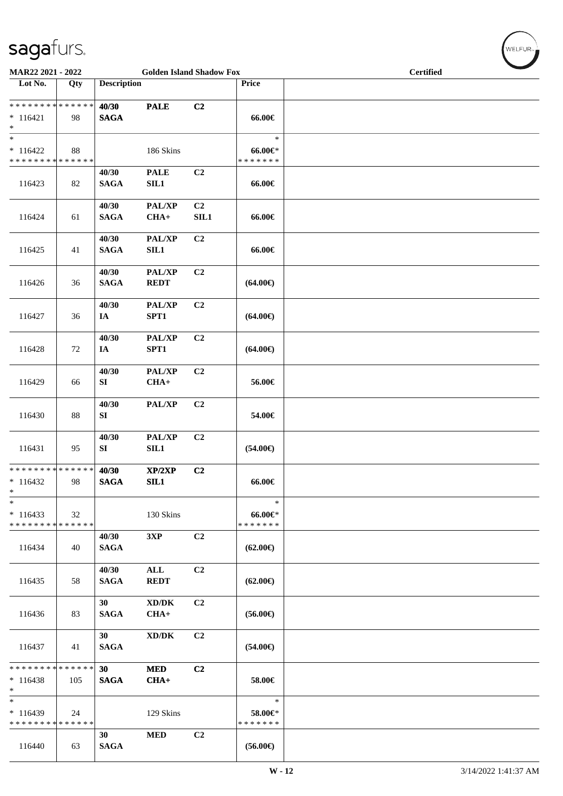| <b>MAR22 2021 - 2022</b>                                           |     |                           | <b>Golden Island Shadow Fox</b> |                |                                             | <b>Certified</b> |  |
|--------------------------------------------------------------------|-----|---------------------------|---------------------------------|----------------|---------------------------------------------|------------------|--|
| Lot No.                                                            | Qty | <b>Description</b>        |                                 |                | Price                                       |                  |  |
| * * * * * * * * <mark>* * * * * * *</mark><br>$* 116421$<br>$\ast$ | 98  | 40/30<br><b>SAGA</b>      | <b>PALE</b>                     | C2             | 66.00€                                      |                  |  |
| $*$<br>$*116422$<br>* * * * * * * * <mark>* * * * * * *</mark>     | 88  |                           | 186 Skins                       |                | $\ast$<br>$66.00 \text{e}$<br>* * * * * * * |                  |  |
| 116423                                                             | 82  | 40/30<br><b>SAGA</b>      | <b>PALE</b><br>SL1              | C2             | 66.00€                                      |                  |  |
| 116424                                                             | 61  | 40/30<br><b>SAGA</b>      | PAL/XP<br>$CHA+$                | C2<br>SLL1     | 66.00€                                      |                  |  |
| 116425                                                             | 41  | 40/30<br><b>SAGA</b>      | PAL/XP<br>SL1                   | C <sub>2</sub> | 66.00€                                      |                  |  |
| 116426                                                             | 36  | 40/30<br><b>SAGA</b>      | PAL/XP<br><b>REDT</b>           | C2             | $(64.00\epsilon)$                           |                  |  |
| 116427                                                             | 36  | 40/30<br>IA               | PAL/XP<br>SPT1                  | C2             | $(64.00\epsilon)$                           |                  |  |
| 116428                                                             | 72  | 40/30<br>IA               | PAL/XP<br>SPT1                  | C2             | $(64.00\epsilon)$                           |                  |  |
| 116429                                                             | 66  | 40/30<br>${\bf S}{\bf I}$ | PAL/XP<br>$CHA+$                | C2             | 56.00€                                      |                  |  |
| 116430                                                             | 88  | 40/30<br>${\bf S}{\bf I}$ | PAL/XP                          | C2             | 54.00€                                      |                  |  |
| 116431                                                             | 95  | 40/30<br>${\bf S}{\bf I}$ | PAL/XP<br>SL1                   | C2             | $(54.00\epsilon)$                           |                  |  |
| * * * * * * * * * * * * * *<br>$*116432$<br>*                      | 98  | 40/30<br><b>SAGA</b>      | XP/2XP<br>SL1                   | C2             | 66.00€                                      |                  |  |
| $\ast$<br>$*116433$<br>* * * * * * * * * * * * * *                 | 32  |                           | 130 Skins                       |                | $\ast$<br>66.00€*<br>* * * * * * *          |                  |  |
| 116434                                                             | 40  | 40/30<br><b>SAGA</b>      | 3XP                             | C2             | $(62.00\epsilon)$                           |                  |  |
| 116435                                                             | 58  | 40/30<br><b>SAGA</b>      | ALL<br><b>REDT</b>              | C <sub>2</sub> | $(62.00\epsilon)$                           |                  |  |
| 116436                                                             | 83  | 30<br><b>SAGA</b>         | XD/DK<br>$CHA+$                 | C2             | $(56.00\epsilon)$                           |                  |  |
| 116437                                                             | 41  | 30<br><b>SAGA</b>         | XD/DK                           | C2             | $(54.00\epsilon)$                           |                  |  |
| * * * * * * * * * * * * * *<br>$* 116438$                          | 105 | 30<br><b>SAGA</b>         | <b>MED</b><br>$CHA+$            | C2             | 58.00€                                      |                  |  |
| $\ast$<br>$\ast$<br>$*116439$                                      | 24  |                           | 129 Skins                       |                | $\ast$<br>58.00€*                           |                  |  |
| * * * * * * * * * * * * * *<br>116440                              | 63  | 30<br><b>SAGA</b>         | <b>MED</b>                      | C2             | * * * * * * *<br>$(56.00\epsilon)$          |                  |  |

WELFUR<sub>"</sub>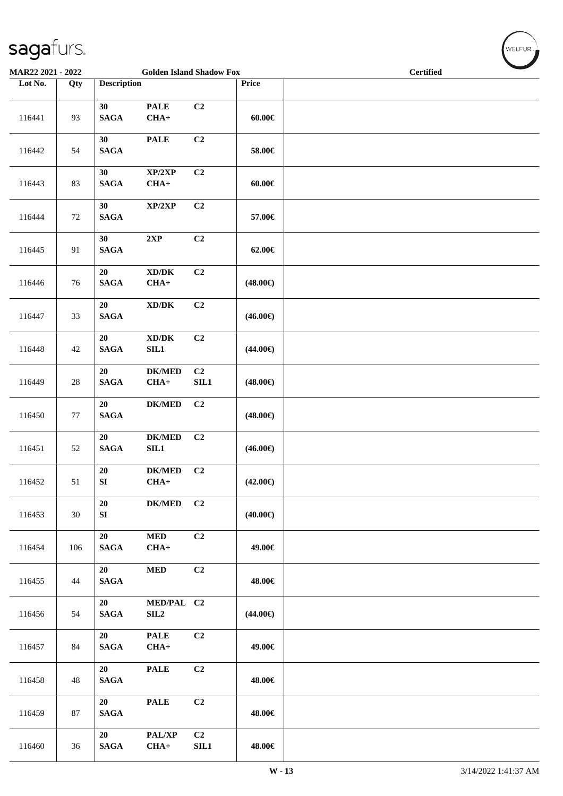| <b>MAR22 2021 - 2022</b> |        |                          | <b>Golden Island Shadow Fox</b>               |                        |                   |  |                  |  |
|--------------------------|--------|--------------------------|-----------------------------------------------|------------------------|-------------------|--|------------------|--|
| Lot No.                  | Qty    | <b>Description</b>       |                                               |                        | Price             |  | <b>Certified</b> |  |
| 116441                   | 93     | 30<br><b>SAGA</b>        | <b>PALE</b><br>$CHA+$                         | C2                     | $60.00 \in$       |  |                  |  |
| 116442                   | 54     | 30<br><b>SAGA</b>        | <b>PALE</b>                                   | C2                     | 58.00€            |  |                  |  |
| 116443                   | 83     | 30<br><b>SAGA</b>        | XP/2XP<br>$CHA+$                              | C2                     | $60.00 \in$       |  |                  |  |
| 116444                   | 72     | 30<br><b>SAGA</b>        | XP/2XP                                        | C2                     | 57.00€            |  |                  |  |
| 116445                   | 91     | 30<br><b>SAGA</b>        | 2XP                                           | C2                     | $62.00 \in$       |  |                  |  |
| 116446                   | 76     | 20<br>$\mathbf{SAGA}$    | $\bold{X}\bold{D}/\bold{D}\bold{K}$<br>$CHA+$ | C2                     | $(48.00\epsilon)$ |  |                  |  |
| 116447                   | 33     | 20<br>$\mathbf{SAGA}$    | $\boldsymbol{\text{XD} / \text{DK}}$          | C2                     | $(46.00\epsilon)$ |  |                  |  |
| 116448                   | 42     | 20<br>$\mathbf{SAGA}$    | $\bold{X}\bold{D}/\bold{D}\bold{K}$<br>SIL1   | C2                     | $(44.00\epsilon)$ |  |                  |  |
| 116449                   | $28\,$ | 20<br><b>SAGA</b>        | $DK/MED$<br>$CHA+$                            | C2<br>SLL1             | $(48.00\epsilon)$ |  |                  |  |
| 116450                   | $77\,$ | 20<br><b>SAGA</b>        | $DK/MED$                                      | C <sub>2</sub>         | $(48.00\epsilon)$ |  |                  |  |
| 116451                   | 52     | 20<br><b>SAGA</b>        | $DK/MED$<br>SL1                               | C2                     | $(46.00\epsilon)$ |  |                  |  |
| 116452                   | 51     | ${\bf 20}$<br>${\bf SI}$ | <b>DK/MED</b><br>$CHA+$                       | C2                     | $(42.00\epsilon)$ |  |                  |  |
| 116453                   | 30     | 20<br>${\bf SI}$         | $DK/MED$                                      | C2                     | $(40.00\epsilon)$ |  |                  |  |
| 116454                   | 106    | 20<br>$\mathbf{SAGA}$    | $\bf MED$<br>$CHA+$                           | C2                     | 49.00€            |  |                  |  |
| 116455                   | 44     | 20<br><b>SAGA</b>        | $\bf MED$                                     | C2                     | 48.00€            |  |                  |  |
| 116456                   | 54     | 20<br><b>SAGA</b>        | MED/PAL C2<br>SL2                             |                        | $(44.00\epsilon)$ |  |                  |  |
| 116457                   | 84     | 20<br><b>SAGA</b>        | <b>PALE</b><br>$CHA+$                         | C <sub>2</sub>         | 49.00€            |  |                  |  |
| 116458                   | 48     | 20<br>$\mathbf{SAGA}$    | <b>PALE</b>                                   | C <sub>2</sub>         | 48.00€            |  |                  |  |
| 116459                   | 87     | 20<br><b>SAGA</b>        | $\ensuremath{\mathsf{PALE}}$                  | C2                     | 48.00€            |  |                  |  |
| 116460                   | 36     | 20<br><b>SAGA</b>        | PAL/XP<br>$CHA+$                              | C <sub>2</sub><br>SIL1 | 48.00€            |  |                  |  |

 $(\overbrace{\text{WELFUR}_{\text{max}}})$